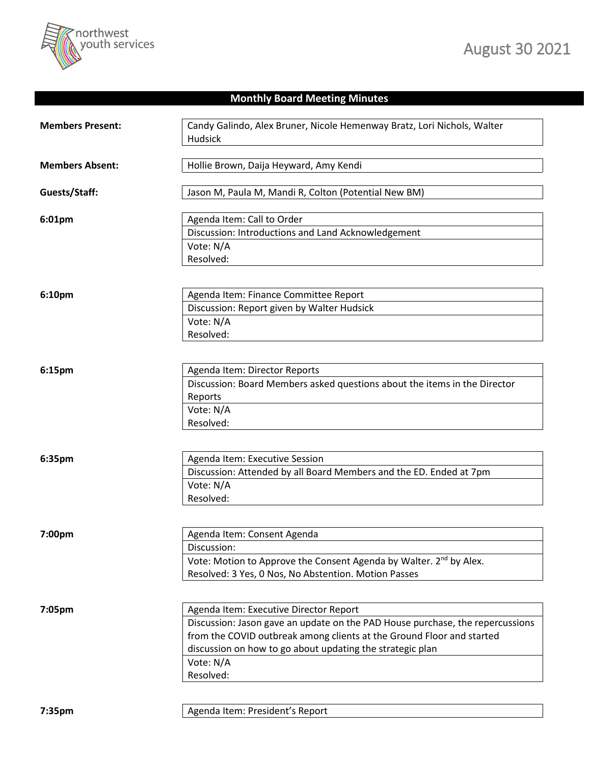

## **Monthly Board Meeting Minutes**

| <b>Members Present:</b> | Candy Galindo, Alex Bruner, Nicole Hemenway Bratz, Lori Nichols, Walter<br>Hudsick                                                                                                                                                                                                      |
|-------------------------|-----------------------------------------------------------------------------------------------------------------------------------------------------------------------------------------------------------------------------------------------------------------------------------------|
| <b>Members Absent:</b>  | Hollie Brown, Daija Heyward, Amy Kendi                                                                                                                                                                                                                                                  |
| Guests/Staff:           | Jason M, Paula M, Mandi R, Colton (Potential New BM)                                                                                                                                                                                                                                    |
| 6:01pm                  | Agenda Item: Call to Order<br>Discussion: Introductions and Land Acknowledgement<br>Vote: N/A<br>Resolved:                                                                                                                                                                              |
| 6:10pm                  | Agenda Item: Finance Committee Report<br>Discussion: Report given by Walter Hudsick<br>Vote: N/A<br>Resolved:                                                                                                                                                                           |
| 6:15pm                  | Agenda Item: Director Reports<br>Discussion: Board Members asked questions about the items in the Director<br>Reports<br>Vote: N/A<br>Resolved:                                                                                                                                         |
| 6:35pm                  | Agenda Item: Executive Session<br>Discussion: Attended by all Board Members and the ED. Ended at 7pm<br>Vote: N/A<br>Resolved:                                                                                                                                                          |
| 7:00pm                  | Agenda Item: Consent Agenda<br>Discussion:<br>Vote: Motion to Approve the Consent Agenda by Walter. 2 <sup>nd</sup> by Alex.<br>Resolved: 3 Yes, 0 Nos, No Abstention. Motion Passes                                                                                                    |
| 7:05pm                  | Agenda Item: Executive Director Report<br>Discussion: Jason gave an update on the PAD House purchase, the repercussions<br>from the COVID outbreak among clients at the Ground Floor and started<br>discussion on how to go about updating the strategic plan<br>Vote: N/A<br>Resolved: |